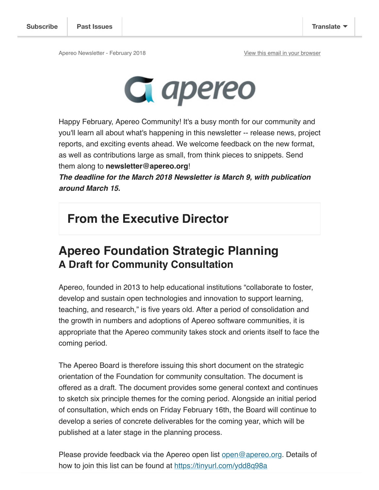Apereo Newsletter - February 2018 **View this email in your browser** 



Happy February, Apereo Community! It's a busy month for our community and you'll learn all about what's happening in this newsletter -- release news, project reports, and exciting events ahead. We welcome feedback on the new format, as well as contributions large as small, from think pieces to snippets. Send them along to **newsletter@apereo.org**!

**The deadline for the March 2018 Newsletter is March 9, with publication around March 15.** 

### **From the Executive Director**

## **Apereo Foundation Strategic Planning A Draft for Community Consultation**

Apereo, founded in 2013 to help educational institutions "collaborate to foster, develop and sustain open technologies and innovation to support learning, teaching, and research," is five years old. After a period of consolidation and the growth in numbers and adoptions of Apereo software communities, it is appropriate that the Apereo community takes stock and orients itself to face the coming period.

The Apereo Board is therefore issuing this short document on the strategic orientation of the Foundation for community consultation. The document is offered as a draft. The document provides some general context and continues to sketch six principle themes for the coming period. Alongside an initial period of consultation, which ends on Friday February 16th, the Board will continue to develop a series of concrete deliverables for the coming year, which will be published at a later stage in the planning process.

Please provide feedback via the Apereo open list open@apereo.org. Details of how to join this list can be found at https://tinyurl.com/ydd8q98a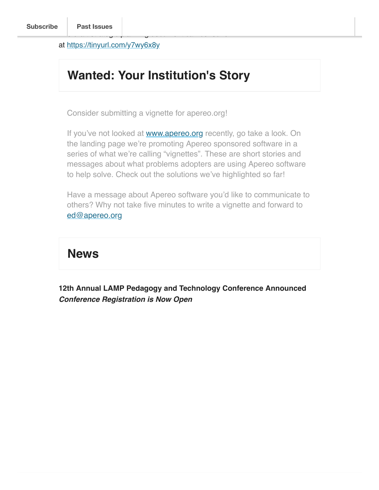at https://tinyurl.com/y7wy6x8y

# **Wanted: Your Institution's Story**

Consider submitting a vignette for apereo.org!

The draft strategic planning document can be found

If you've not looked at **www.apereo.org** recently, go take a look. On the landing page we're promoting Apereo sponsored software in a series of what we're calling "vignettes". These are short stories and messages about what problems adopters are using Apereo software to help solve. Check out the solutions we've highlighted so far!

Have a message about Apereo software you'd like to communicate to others? Why not take five minutes to write a vignette and forward to ed@apereo.org

### **News**

**12th Annual LAMP Pedagogy and Technology Conference Announced Conference Registration is Now Open**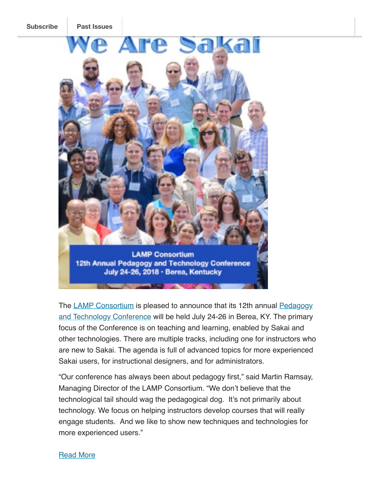

#### **Subscribe Past Issues**



The LAMP Consortium is pleased to announce that its 12th annual Pedagogy and Technology Conference will be held July 24-26 in Berea, KY. The primary focus of the Conference is on teaching and learning, enabled by Sakai and other technologies. There are multiple tracks, including one for instructors who are new to Sakai. The agenda is full of advanced topics for more experienced Sakai users, for instructional designers, and for administrators.

"Our conference has always been about pedagogy first," said Martin Ramsay, Managing Director of the LAMP Consortium. "We don't believe that the technological tail should wag the pedagogical dog. It's not primarily about technology. We focus on helping instructors develop courses that will really engage students. And we like to show new techniques and technologies for more experienced users."

#### **Read More**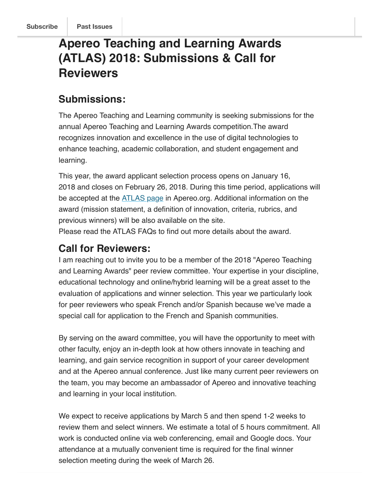# **Apereo Teaching and Learning Awards (ATLAS) 2018: Submissions & Call for Reviewers**

### **Submissions:**

The Apereo Teaching and Learning community is seeking submissions for the annual Apereo Teaching and Learning Awards competition.The award recognizes innovation and excellence in the use of digital technologies to enhance teaching, academic collaboration, and student engagement and learning.

This year, the award applicant selection process opens on January 16, 2018 and closes on February 26, 2018. During this time period, applications will be accepted at the ATLAS page in Apereo.org. Additional information on the award (mission statement, a definition of innovation, criteria, rubrics, and previous winners) will be also available on the site.

Please read the ATLAS FAQs to find out more details about the award.

### **Call for Reviewers:**

I am reaching out to invite you to be a member of the 2018 "Apereo Teaching and Learning Awards" peer review committee. Your expertise in your discipline, educational technology and online/hybrid learning will be a great asset to the evaluation of applications and winner selection. This year we particularly look for peer reviewers who speak French and/or Spanish because we've made a special call for application to the French and Spanish communities.

By serving on the award committee, you will have the opportunity to meet with other faculty, enjoy an in-depth look at how others innovate in teaching and learning, and gain service recognition in support of your career development and at the Apereo annual conference. Just like many current peer reviewers on the team, you may become an ambassador of Apereo and innovative teaching and learning in your local institution.

We expect to receive applications by March 5 and then spend 1-2 weeks to review them and select winners. We estimate a total of 5 hours commitment. All work is conducted online via web conferencing, email and Google docs. Your attendance at a mutually convenient time is required for the final winner selection meeting during the week of March 26.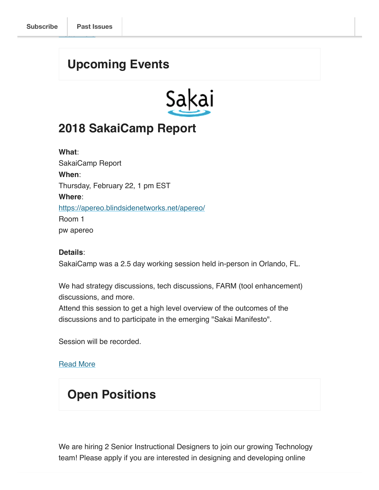<u>read materials</u>

# **Upcoming Events**



## **2018 SakaiCamp Report**

**What**: SakaiCamp Report **When**: Thursday, February 22, 1 pm EST **Where**: https://apereo.blindsidenetworks.net/apereo/ Room 1 pw apereo

#### **Details**:

SakaiCamp was a 2.5 day working session held in-person in Orlando, FL.

We had strategy discussions, tech discussions, FARM (tool enhancement) discussions, and more.

Attend this session to get a high level overview of the outcomes of the discussions and to participate in the emerging "Sakai Manifesto".

Session will be recorded.

#### **Read More**

### **Open Positions**

We are hiring 2 Senior Instructional Designers to join our growing Technology team! Please apply if you are interested in designing and developing online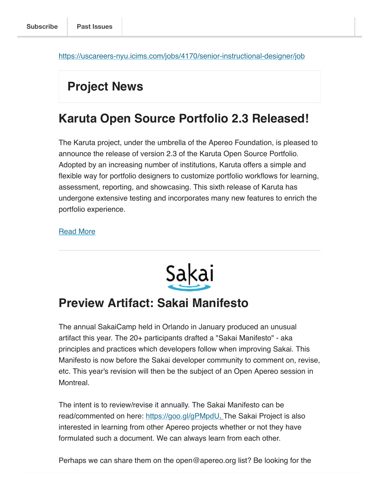https://uscareers-nyu.icims.com/jobs/4170/senior-instructional-designer/job

# **Project News**

## **Karuta Open Source Portfolio 2.3 Released!**

The Karuta project, under the umbrella of the Apereo Foundation, is pleased to announce the release of version 2.3 of the Karuta Open Source Portfolio. Adopted by an increasing number of institutions, Karuta offers a simple and flexible way for portfolio designers to customize portfolio workflows for learning, assessment, reporting, and showcasing. This sixth release of Karuta has undergone extensive testing and incorporates many new features to enrich the portfolio experience.

#### Read More



### **Preview Artifact: Sakai Manifesto**

The annual SakaiCamp held in Orlando in January produced an unusual artifact this year. The 20+ participants drafted a "Sakai Manifesto" - aka principles and practices which developers follow when improving Sakai. This Manifesto is now before the Sakai developer community to comment on, revise, etc. This year's revision will then be the subject of an Open Apereo session in Montreal.

The intent is to review/revise it annually. The Sakai Manifesto can be read/commented on here: https://goo.gl/gPMpdU. The Sakai Project is also interested in learning from other Apereo projects whether or not they have formulated such a document. We can always learn from each other.

Perhaps we can share them on the open@apereo.org list? Be looking for the